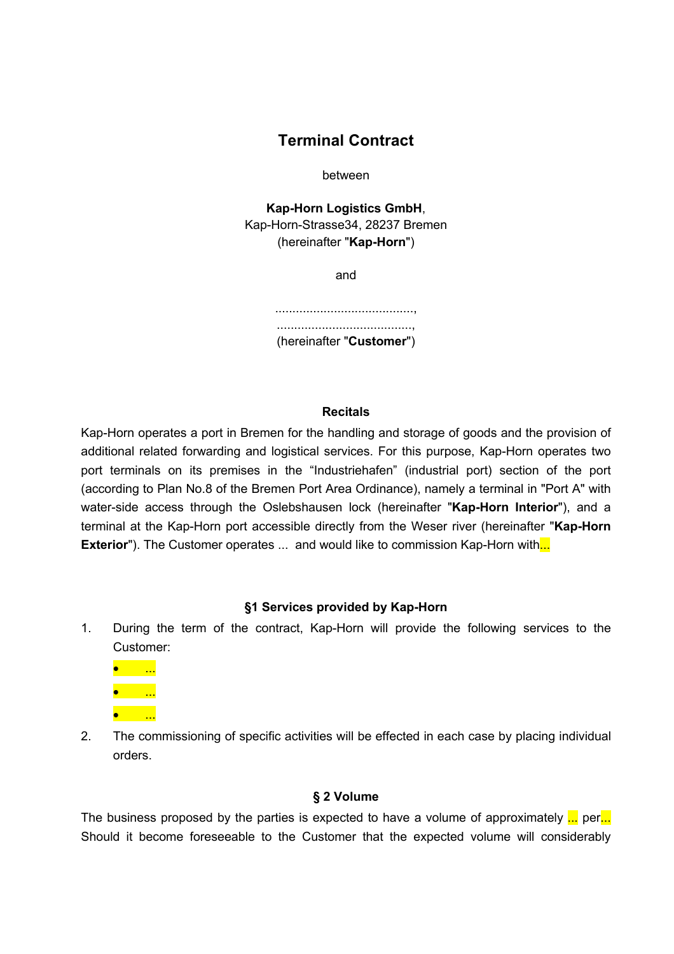# **Terminal Contract**

between

**Kap-Horn Logistics GmbH**, Kap-Horn-Strasse34, 28237 Bremen (hereinafter "**Kap-Horn**")

and

........................................, ......................................., (hereinafter "**Customer**")

#### **Recitals**

Kap-Horn operates a port in Bremen for the handling and storage of goods and the provision of additional related forwarding and logistical services. For this purpose, Kap-Horn operates two port terminals on its premises in the "Industriehafen" (industrial port) section of the port (according to Plan No.8 of the Bremen Port Area Ordinance), namely a terminal in "Port A" with water-side access through the Oslebshausen lock (hereinafter "**Kap-Horn Interior**"), and a terminal at the Kap-Horn port accessible directly from the Weser river (hereinafter "**Kap-Horn Exterior**"). The Customer operates ... and would like to commission Kap-Horn with...

#### **§1 Services provided by Kap-Horn**

1. During the term of the contract, Kap-Horn will provide the following services to the Customer:



2. The commissioning of specific activities will be effected in each case by placing individual orders.

#### **§ 2 Volume**

The business proposed by the parties is expected to have a volume of approximately ... per... Should it become foreseeable to the Customer that the expected volume will considerably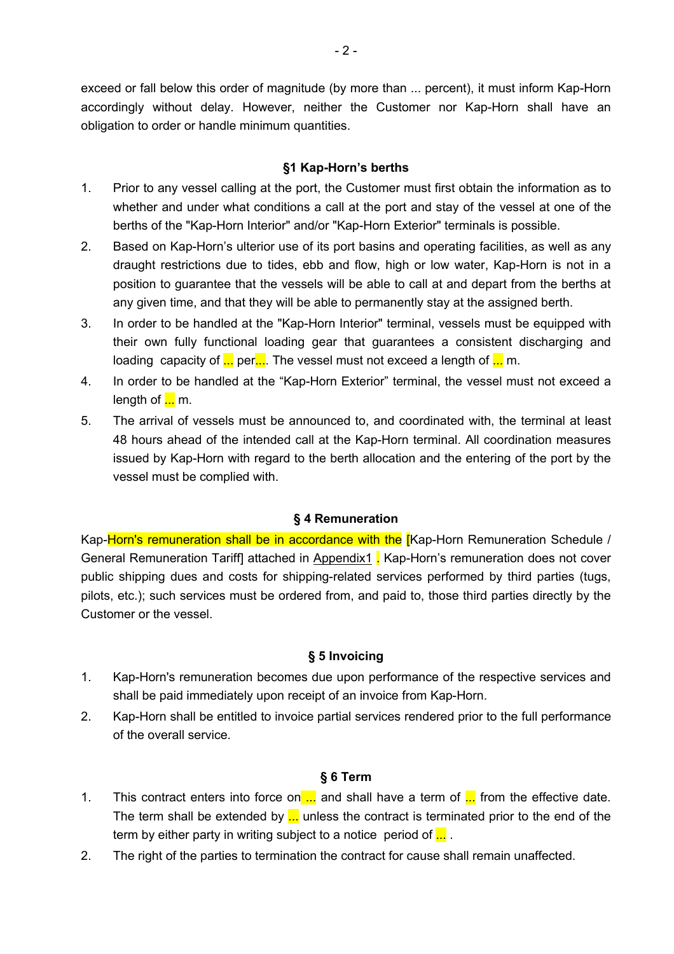exceed or fall below this order of magnitude (by more than ... percent), it must inform Kap-Horn accordingly without delay. However, neither the Customer nor Kap-Horn shall have an obligation to order or handle minimum quantities.

# **§1 Kap-Horn's berths**

- 1. Prior to any vessel calling at the port, the Customer must first obtain the information as to whether and under what conditions a call at the port and stay of the vessel at one of the berths of the "Kap-Horn Interior" and/or "Kap-Horn Exterior" terminals is possible.
- 2. Based on Kap-Horn's ulterior use of its port basins and operating facilities, as well as any draught restrictions due to tides, ebb and flow, high or low water, Kap-Horn is not in a position to guarantee that the vessels will be able to call at and depart from the berths at any given time, and that they will be able to permanently stay at the assigned berth.
- 3. In order to be handled at the "Kap-Horn Interior" terminal, vessels must be equipped with their own fully functional loading gear that guarantees a consistent discharging and loading capacity of  $\frac{1}{n}$  per $\frac{1}{n}$ . The vessel must not exceed a length of  $\frac{1}{n}$  m.
- 4. In order to be handled at the "Kap-Horn Exterior" terminal, the vessel must not exceed a length of  $\frac{1}{2}$  m.
- 5. The arrival of vessels must be announced to, and coordinated with, the terminal at least 48 hours ahead of the intended call at the Kap-Horn terminal. All coordination measures issued by Kap-Horn with regard to the berth allocation and the entering of the port by the vessel must be complied with.

## **§ 4 Remuneration**

Kap-Horn's remuneration shall be in accordance with the [Kap-Horn Remuneration Schedule / General Remuneration Tariff] attached in Appendix1 . Kap-Horn's remuneration does not cover public shipping dues and costs for shipping-related services performed by third parties (tugs, pilots, etc.); such services must be ordered from, and paid to, those third parties directly by the Customer or the vessel.

## **§ 5 Invoicing**

- 1. Kap-Horn's remuneration becomes due upon performance of the respective services and shall be paid immediately upon receipt of an invoice from Kap-Horn.
- 2. Kap-Horn shall be entitled to invoice partial services rendered prior to the full performance of the overall service.

## **§ 6 Term**

- 1. This contract enters into force on  $\ldots$  and shall have a term of  $\ldots$  from the effective date. The term shall be extended by  $\ldots$  unless the contract is terminated prior to the end of the term by either party in writing subject to a notice period of  $\frac{1}{n}$ .
- 2. The right of the parties to termination the contract for cause shall remain unaffected.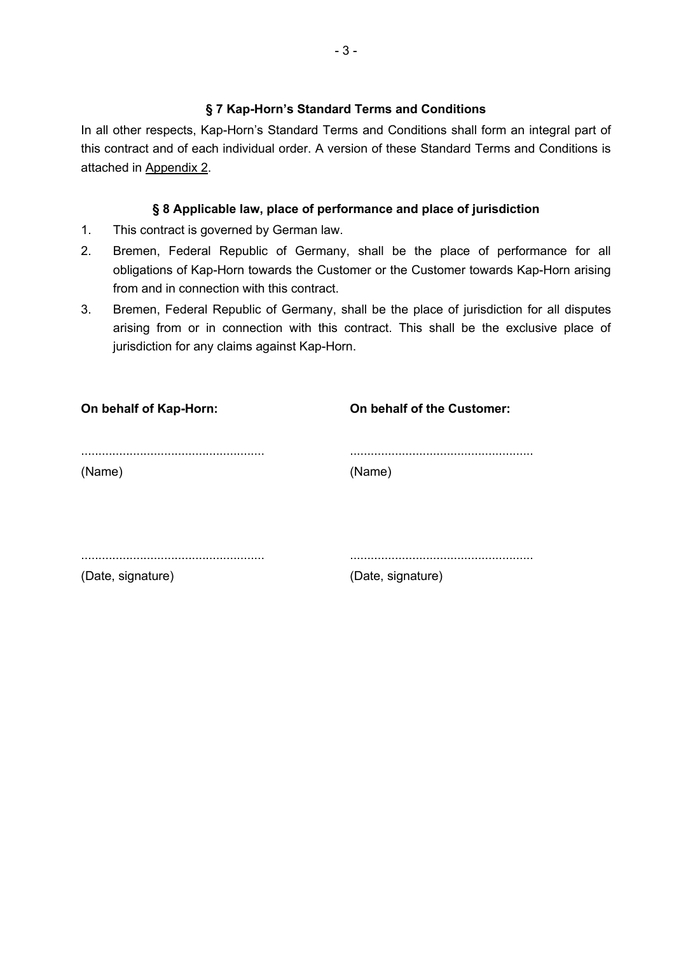#### **§ 7 Kap-Horn's Standard Terms and Conditions**

In all other respects, Kap-Horn's Standard Terms and Conditions shall form an integral part of this contract and of each individual order. A version of these Standard Terms and Conditions is attached in Appendix 2.

#### **§ 8 Applicable law, place of performance and place of jurisdiction**

- 1. This contract is governed by German law.
- 2. Bremen, Federal Republic of Germany, shall be the place of performance for all obligations of Kap-Horn towards the Customer or the Customer towards Kap-Horn arising from and in connection with this contract.
- 3. Bremen, Federal Republic of Germany, shall be the place of jurisdiction for all disputes arising from or in connection with this contract. This shall be the exclusive place of jurisdiction for any claims against Kap-Horn.

| On behalf of Kap-Horn: | On behalf of the Customer: |
|------------------------|----------------------------|
|                        |                            |
| (Name)                 | (Name)                     |
|                        |                            |
|                        |                            |
|                        |                            |
| (Date, signature)      | (Date, signature)          |
|                        |                            |